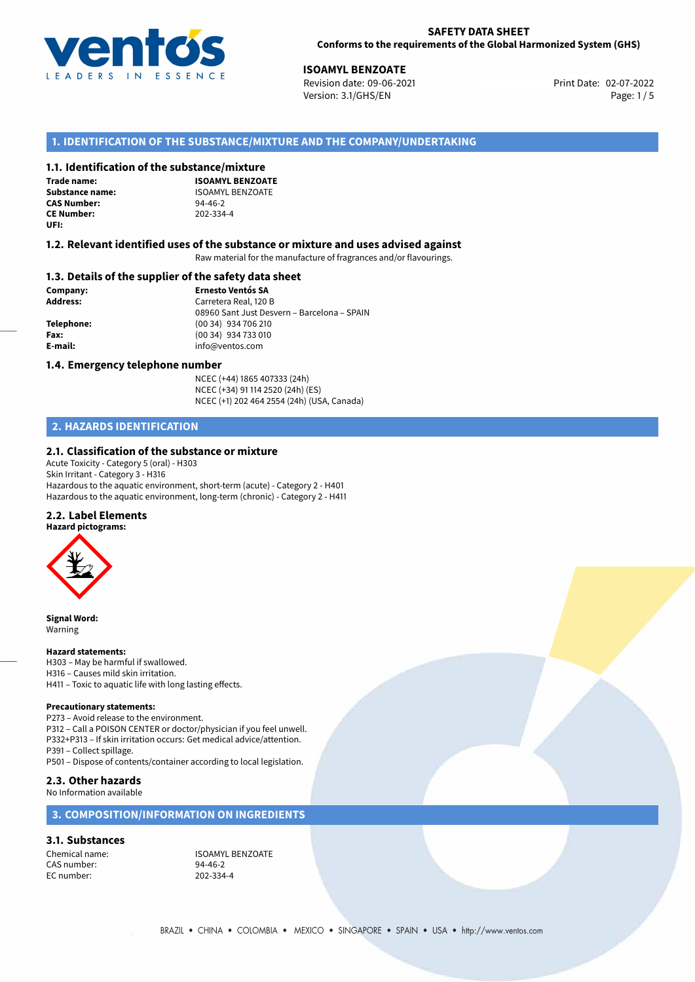

02-07-2022 **ISOAMYL BENZOATE** Revision date: 09-06-2021 Print Date: Version: 3.1/GHS/EN Page: 1 / 5

# **1. IDENTIFICATION OF THE SUBSTANCE/MIXTURE AND THE COMPANY/UNDERTAKING**

## **1.1. Identification of the substance/mixture**

**Trade name: CAS Number: CE Number:** 202-334-4 **UFI:**

**ISOAMYL BENZOATE Substance name:** ISOAMYL BENZOATE<br> **CAS Number:** 94-46-2

## **1.2. Relevant identified uses of the substance or mixture and uses advised against**

Raw material for the manufacture of fragrances and/or flavourings.

## **1.3. Details of the supplier of the safety data sheet**

**Company: Ernesto Ventós SA Address:** Carretera Real, 120 B 08960 Sant Just Desvern – Barcelona – SPAIN **Telephone:** (00 34) 934 706 210 **Fax:** (00 34) 934 733 010 **E-mail:** info@ventos.com

## **1.4. Emergency telephone number**

NCEC (+44) 1865 407333 (24h) NCEC (+34) 91 114 2520 (24h) (ES) NCEC (+1) 202 464 2554 (24h) (USA, Canada)

# **2. HAZARDS IDENTIFICATION**

## **2.1. Classification of the substance or mixture**

Acute Toxicity - Category 5 (oral) - H303 Skin Irritant - Category 3 - H316 Hazardous to the aquatic environment, short-term (acute) - Category 2 - H401 Hazardous to the aquatic environment, long-term (chronic) - Category 2 - H411

## **2.2. Label Elements**



**Signal Word:** Warning

### **Hazard statements:**

H303 – May be harmful if swallowed. H316 – Causes mild skin irritation. H411 – Toxic to aquatic life with long lasting effects.

### **Precautionary statements:**

P273 – Avoid release to the environment. P312 – Call a POISON CENTER or doctor/physician if you feel unwell. P332+P313 – If skin irritation occurs: Get medical advice/attention. P391 – Collect spillage. P501 – Dispose of contents/container according to local legislation.

## **2.3. Other hazards**

No Information available

# **3. COMPOSITION/INFORMATION ON INGREDIENTS**

## **3.1. Substances**

CAS number: 94-46-2<br>
FC number: 202-334-4 EC number:

Chemical name: ISOAMYL BENZOATE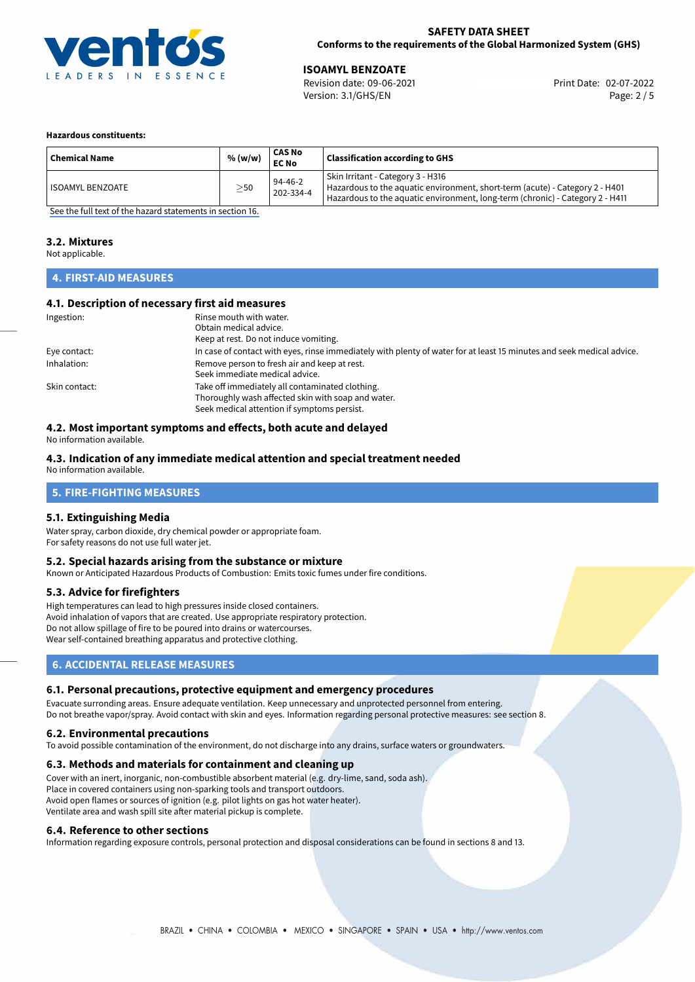

02-07-2022 **ISOAMYL BENZOATE** Revision date: 09-06-2021 Print Date: Version: 3.1/GHS/EN Page: 2 / 5

## **Hazardous constituents:**

| <b>Chemical Name</b> | % (w/w)   | <b>CAS No</b><br><b>EC No</b> | <b>Classification according to GHS</b>                                                                                                                                                             |
|----------------------|-----------|-------------------------------|----------------------------------------------------------------------------------------------------------------------------------------------------------------------------------------------------|
| ISOAMYL BENZOATE     | $\geq$ 50 | $94-46-2$<br>202-334-4        | Skin Irritant - Category 3 - H316<br>Hazardous to the aquatic environment, short-term (acute) - Category 2 - H401<br>Hazardous to the aquatic environment, long-term (chronic) - Category 2 - H411 |

[See the full text of the hazard statements in section 16.](#page-4-0)

## **3.2. Mixtures**

Not applicable.

# **4. FIRST-AID MEASURES**

## **4.1. Description of necessary first aid measures**

| Ingestion:    | Rinse mouth with water.                                                                                               |  |  |
|---------------|-----------------------------------------------------------------------------------------------------------------------|--|--|
|               | Obtain medical advice.                                                                                                |  |  |
|               | Keep at rest. Do not induce vomiting.                                                                                 |  |  |
| Eye contact:  | In case of contact with eyes, rinse immediately with plenty of water for at least 15 minutes and seek medical advice. |  |  |
| Inhalation:   | Remove person to fresh air and keep at rest.                                                                          |  |  |
|               | Seek immediate medical advice.                                                                                        |  |  |
| Skin contact: | Take off immediately all contaminated clothing.                                                                       |  |  |
|               | Thoroughly wash affected skin with soap and water.                                                                    |  |  |
|               | Seek medical attention if symptoms persist.                                                                           |  |  |

# **4.2. Most important symptoms and effects, both acute and delayed**

No information available.

## **4.3. Indication of any immediate medical attention and special treatment needed**

No information available.

## **5. FIRE-FIGHTING MEASURES**

## **5.1. Extinguishing Media**

Water spray, carbon dioxide, dry chemical powder or appropriate foam. For safety reasons do not use full water jet.

## **5.2. Special hazards arising from the substance or mixture**

Known or Anticipated Hazardous Products of Combustion: Emits toxic fumes under fire conditions.

## **5.3. Advice for firefighters**

High temperatures can lead to high pressures inside closed containers. Avoid inhalation of vapors that are created. Use appropriate respiratory protection. Do not allow spillage of fire to be poured into drains or watercourses. Wear self-contained breathing apparatus and protective clothing.

# **6. ACCIDENTAL RELEASE MEASURES**

## **6.1. Personal precautions, protective equipment and emergency procedures**

Evacuate surronding areas. Ensure adequate ventilation. Keep unnecessary and unprotected personnel from entering. Do not breathe vapor/spray. Avoid contact with skin and eyes. Information regarding personal protective measures: see section 8.

## **6.2. Environmental precautions**

To avoid possible contamination of the environment, do not discharge into any drains, surface waters or groundwaters.

## **6.3. Methods and materials for containment and cleaning up**

Cover with an inert, inorganic, non-combustible absorbent material (e.g. dry-lime, sand, soda ash). Place in covered containers using non-sparking tools and transport outdoors. Avoid open flames or sources of ignition (e.g. pilot lights on gas hot water heater). Ventilate area and wash spill site after material pickup is complete.

## **6.4. Reference to other sections**

Information regarding exposure controls, personal protection and disposal considerations can be found in sections 8 and 13.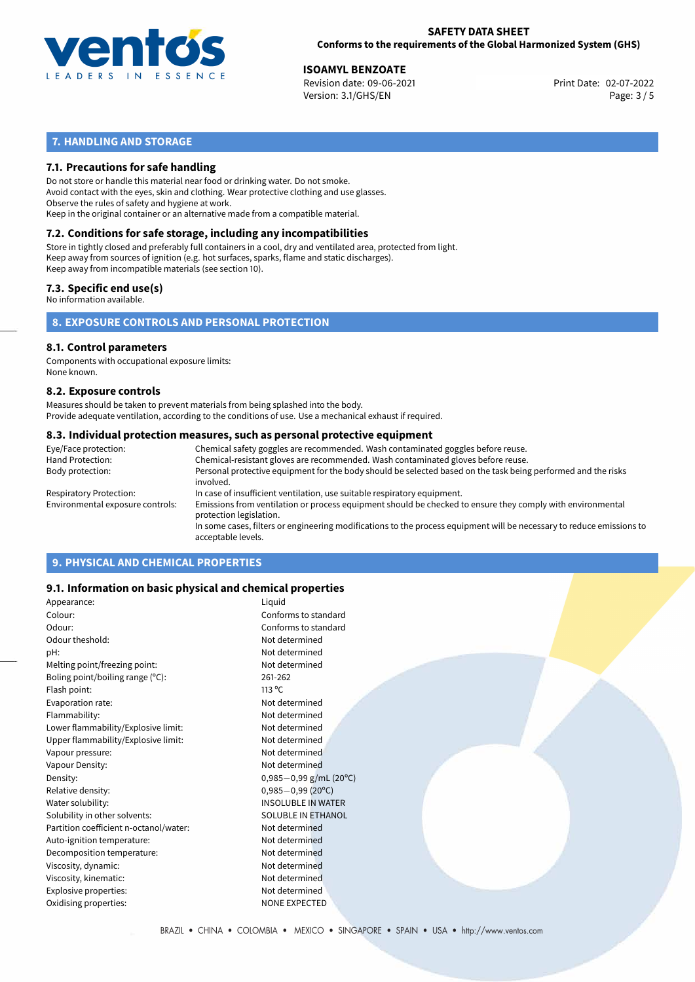

02-07-2022 **ISOAMYL BENZOATE** Revision date: 09-06-2021 Print Date: Version: 3.1/GHS/EN Page: 3 / 5

# **7. HANDLING AND STORAGE**

# **7.1. Precautions for safe handling**

Do not store or handle this material near food or drinking water. Do not smoke. Avoid contact with the eyes, skin and clothing. Wear protective clothing and use glasses. Observe the rules of safety and hygiene at work. Keep in the original container or an alternative made from a compatible material.

# **7.2. Conditions for safe storage, including any incompatibilities**

Store in tightly closed and preferably full containers in a cool, dry and ventilated area, protected from light. Keep away from sources of ignition (e.g. hot surfaces, sparks, flame and static discharges). Keep away from incompatible materials (see section 10).

## **7.3. Specific end use(s)**

No information available.

**8. EXPOSURE CONTROLS AND PERSONAL PROTECTION**

# **8.1. Control parameters**

Components with occupational exposure limits: None known.

## **8.2. Exposure controls**

Measures should be taken to prevent materials from being splashed into the body. Provide adequate ventilation, according to the conditions of use. Use a mechanical exhaust if required.

## **8.3. Individual protection measures, such as personal protective equipment**

| Eye/Face protection:             | Chemical safety goggles are recommended. Wash contaminated goggles before reuse.                                                            |  |  |  |  |
|----------------------------------|---------------------------------------------------------------------------------------------------------------------------------------------|--|--|--|--|
| Hand Protection:                 | Chemical-resistant gloves are recommended. Wash contaminated gloves before reuse.                                                           |  |  |  |  |
| Body protection:                 | Personal protective equipment for the body should be selected based on the task being performed and the risks<br>involved.                  |  |  |  |  |
| Respiratory Protection:          | In case of insufficient ventilation, use suitable respiratory equipment.                                                                    |  |  |  |  |
| Environmental exposure controls: | Emissions from ventilation or process equipment should be checked to ensure they comply with environmental<br>protection legislation.       |  |  |  |  |
|                                  | In some cases, filters or engineering modifications to the process equipment will be necessary to reduce emissions to<br>acceptable levels. |  |  |  |  |
|                                  |                                                                                                                                             |  |  |  |  |

# **9. PHYSICAL AND CHEMICAL PROPERTIES**

## **9.1. Information on basic physical and chemical properties**

| Appearance:                            | Liquid                    |
|----------------------------------------|---------------------------|
| Colour:                                | Conforms to standard      |
| Odour:                                 | Conforms to standard      |
| Odour theshold:                        | Not determined            |
| pH:                                    | Not determined            |
| Melting point/freezing point:          | Not determined            |
| Boling point/boiling range (°C):       | 261-262                   |
| Flash point:                           | $113^{\circ}$ C           |
| Evaporation rate:                      | Not determined            |
| Flammability:                          | Not determined            |
| Lower flammability/Explosive limit:    | Not determined            |
| Upper flammability/Explosive limit:    | Not determined            |
| Vapour pressure:                       | Not determined            |
| Vapour Density:                        | Not determined            |
| Density:                               | $0,985-0,99$ g/mL (20°C)  |
| Relative density:                      | $0,985 - 0,99$ (20°C)     |
| Water solubility:                      | <b>INSOLUBLE IN WATER</b> |
| Solubility in other solvents:          | SOLUBLE IN ETHANOL        |
| Partition coefficient n-octanol/water: | Not determined            |
| Auto-ignition temperature:             | Not determined            |
| Decomposition temperature:             | Not determined            |
| Viscosity, dynamic:                    | Not determined            |
| Viscosity, kinematic:                  | Not determined            |
| Explosive properties:                  | Not determined            |
| Oxidising properties:                  | <b>NONE EXPECTED</b>      |
|                                        |                           |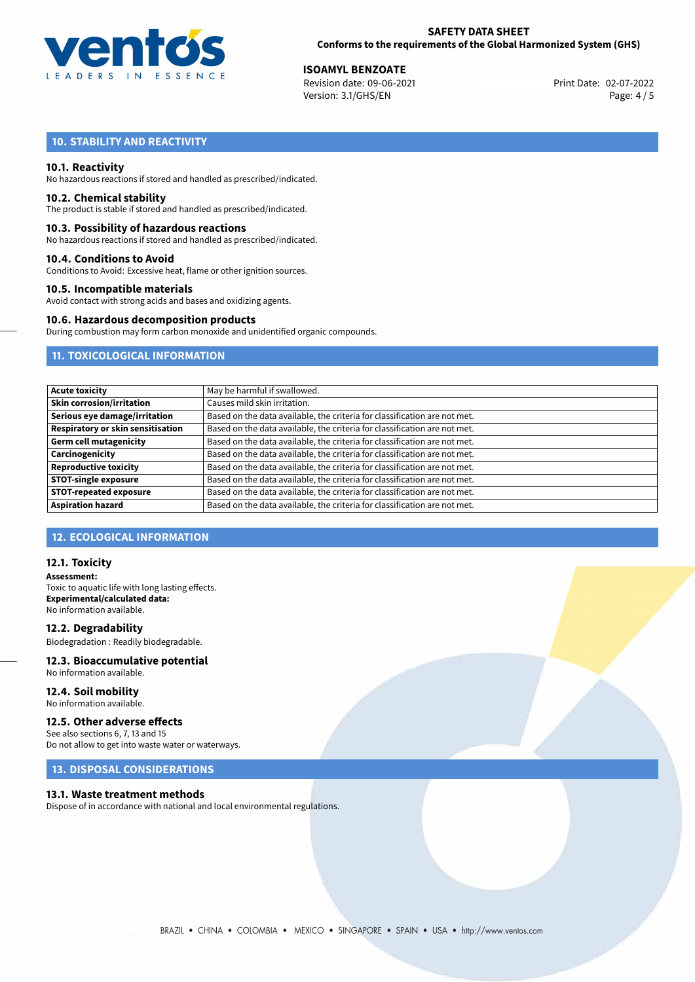

02-07-2022 **ISOAMYL BENZOATE** Revision date: 09-06-2021 Print Date: Version: 3.1/GHS/EN Page: 4 / 5

# **10. STABILITY AND REACTIVITY**

## **10.1. Reactivity**

No hazardous reactions if stored and handled as prescribed/indicated.

## **10.2. Chemical stability**

The product is stable if stored and handled as prescribed/indicated.

## **10.3. Possibility of hazardous reactions**

No hazardous reactions if stored and handled as prescribed/indicated.

## **10.4. Conditions to Avoid**

Conditions to Avoid: Excessive heat, flame or other ignition sources.

## **10.5. Incompatible materials**

Avoid contact with strong acids and bases and oxidizing agents.

## **10.6. Hazardous decomposition products**

During combustion may form carbon monoxide and unidentified organic compounds.

# **11. TOXICOLOGICAL INFORMATION**

| Acute toxicity                    | May be harmful if swallowed.                                              |
|-----------------------------------|---------------------------------------------------------------------------|
| <b>Skin corrosion/irritation</b>  | Causes mild skin irritation.                                              |
| Serious eye damage/irritation     | Based on the data available, the criteria for classification are not met. |
| Respiratory or skin sensitisation | Based on the data available, the criteria for classification are not met. |
| Germ cell mutagenicity            | Based on the data available, the criteria for classification are not met. |
| Carcinogenicity                   | Based on the data available, the criteria for classification are not met. |
| <b>Reproductive toxicity</b>      | Based on the data available, the criteria for classification are not met. |
| <b>STOT-single exposure</b>       | Based on the data available, the criteria for classification are not met. |
| <b>STOT-repeated exposure</b>     | Based on the data available, the criteria for classification are not met. |
| <b>Aspiration hazard</b>          | Based on the data available, the criteria for classification are not met. |

## **12. ECOLOGICAL INFORMATION**

## **12.1. Toxicity**

**Assessment:** Toxic to aquatic life with long lasting effects. **Experimental/calculated data:** No information available.

**12.2. Degradability** Biodegradation : Readily biodegradable.

### **12.3. Bioaccumulative potential** No information available.

**12.4. Soil mobility**

# No information available.

## **12.5. Other adverse effects**

See also sections 6, 7, 13 and 15 Do not allow to get into waste water or waterways.

## **13. DISPOSAL CONSIDERATIONS**

## **13.1. Waste treatment methods**

Dispose of in accordance with national and local environmental regulations.